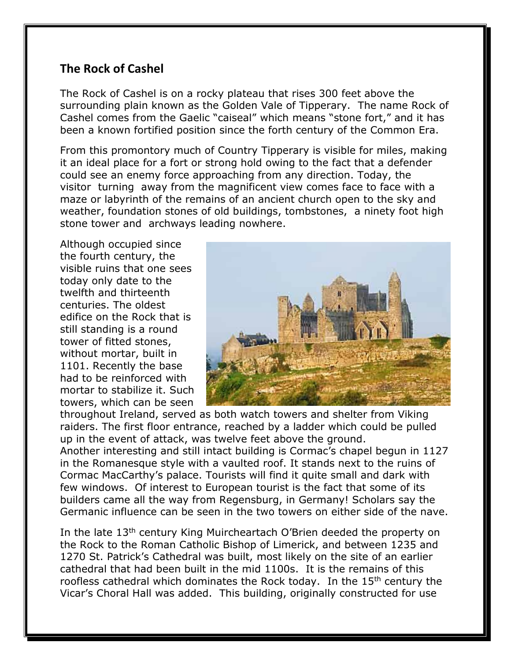## **The Rock of Cashel**

The Rock of Cashel is on a rocky plateau that rises 300 feet above the surrounding plain known as the Golden Vale of Tipperary. The name Rock of Cashel comes from the Gaelic "caiseal" which means "stone fort," and it has been a known fortified position since the forth century of the Common Era.

From this promontory much of Country Tipperary is visible for miles, making it an ideal place for a fort or strong hold owing to the fact that a defender could see an enemy force approaching from any direction. Today, the visitor turning away from the magnificent view comes face to face with a maze or labyrinth of the remains of an ancient church open to the sky and weather, foundation stones of old buildings, tombstones, a ninety foot high stone tower and archways leading nowhere.

Although occupied since the fourth century, the visible ruins that one sees today only date to the twelfth and thirteenth centuries. The oldest edifice on the Rock that is still standing is a round tower of fitted stones, without mortar, built in 1101. Recently the base had to be reinforced with mortar to stabilize it. Such towers, which can be seen



throughout Ireland, served as both watch towers and shelter from Viking raiders. The first floor entrance, reached by a ladder which could be pulled up in the event of attack, was twelve feet above the ground. Another interesting and still intact building is Cormac's chapel begun in 1127 in the Romanesque style with a vaulted roof. It stands next to the ruins of Cormac MacCarthy's palace. Tourists will find it quite small and dark with few windows. Of interest to European tourist is the fact that some of its builders came all the way from Regensburg, in Germany! Scholars say the Germanic influence can be seen in the two towers on either side of the nave.

In the late 13<sup>th</sup> century King Muircheartach O'Brien deeded the property on the Rock to the Roman Catholic Bishop of Limerick, and between 1235 and 1270 St. Patrick's Cathedral was built, most likely on the site of an earlier cathedral that had been built in the mid 1100s. It is the remains of this roofless cathedral which dominates the Rock today. In the 15<sup>th</sup> century the Vicar's Choral Hall was added. This building, originally constructed for use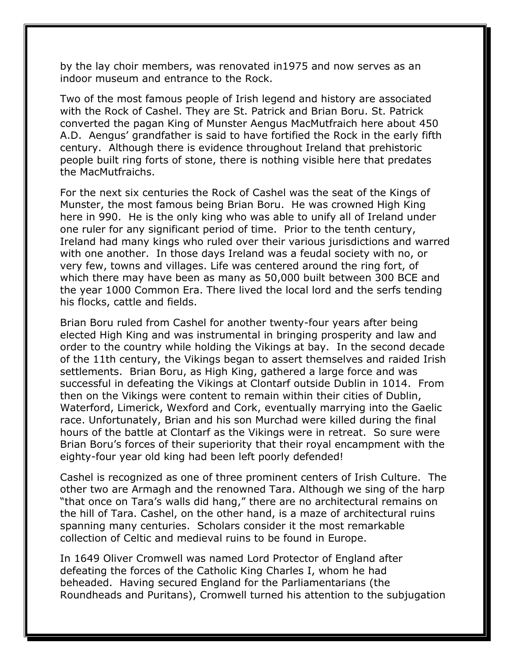by the lay choir members, was renovated in1975 and now serves as an indoor museum and entrance to the Rock.

Two of the most famous people of Irish legend and history are associated with the Rock of Cashel. They are St. Patrick and Brian Boru. St. Patrick converted the pagan King of Munster Aengus MacMutfraich here about 450 A.D. Aengus' grandfather is said to have fortified the Rock in the early fifth century. Although there is evidence throughout Ireland that prehistoric people built ring forts of stone, there is nothing visible here that predates the MacMutfraichs.

For the next six centuries the Rock of Cashel was the seat of the Kings of Munster, the most famous being Brian Boru. He was crowned High King here in 990. He is the only king who was able to unify all of Ireland under one ruler for any significant period of time. Prior to the tenth century, Ireland had many kings who ruled over their various jurisdictions and warred with one another. In those days Ireland was a feudal society with no, or very few, towns and villages. Life was centered around the ring fort, of which there may have been as many as 50,000 built between 300 BCE and the year 1000 Common Era. There lived the local lord and the serfs tending his flocks, cattle and fields.

Brian Boru ruled from Cashel for another twenty-four years after being elected High King and was instrumental in bringing prosperity and law and order to the country while holding the Vikings at bay. In the second decade of the 11th century, the Vikings began to assert themselves and raided Irish settlements. Brian Boru, as High King, gathered a large force and was successful in defeating the Vikings at Clontarf outside Dublin in 1014. From then on the Vikings were content to remain within their cities of Dublin, Waterford, Limerick, Wexford and Cork, eventually marrying into the Gaelic race. Unfortunately, Brian and his son Murchad were killed during the final hours of the battle at Clontarf as the Vikings were in retreat. So sure were Brian Boru's forces of their superiority that their royal encampment with the eighty-four year old king had been left poorly defended!

Cashel is recognized as one of three prominent centers of Irish Culture. The other two are Armagh and the renowned Tara. Although we sing of the harp "that once on Tara's walls did hang," there are no architectural remains on the hill of Tara. Cashel, on the other hand, is a maze of architectural ruins spanning many centuries. Scholars consider it the most remarkable collection of Celtic and medieval ruins to be found in Europe.

In 1649 Oliver Cromwell was named Lord Protector of England after defeating the forces of the Catholic King Charles I, whom he had beheaded. Having secured England for the Parliamentarians (the Roundheads and Puritans), Cromwell turned his attention to the subjugation